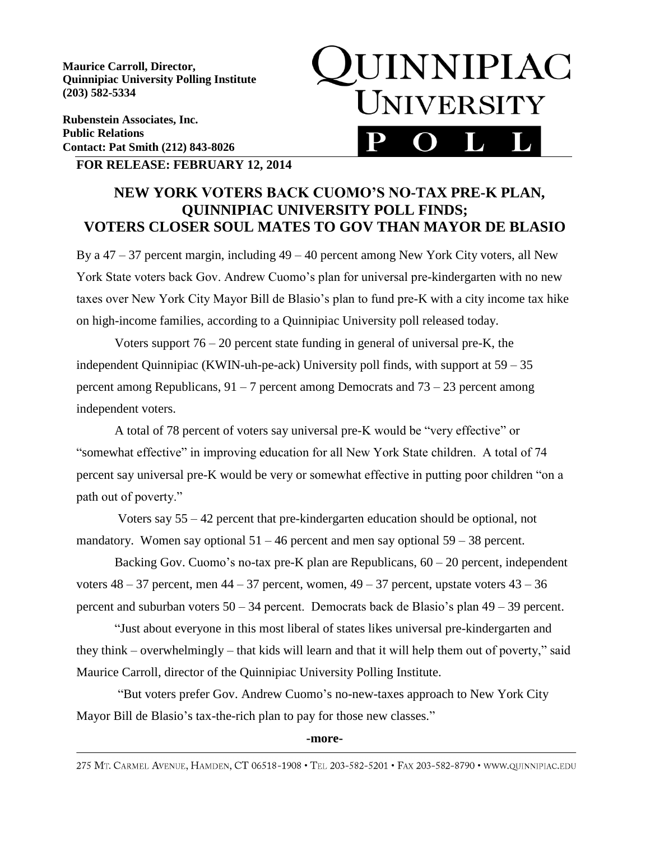**Maurice Carroll, Director, Quinnipiac University Polling Institute (203) 582-5334**

**Rubenstein Associates, Inc. Public Relations Contact: Pat Smith (212) 843-8026**

# **JUINNIPIAC** UNIVERSITY

### **FOR RELEASE: FEBRUARY 12, 2014**

## **NEW YORK VOTERS BACK CUOMO'S NO-TAX PRE-K PLAN, QUINNIPIAC UNIVERSITY POLL FINDS; VOTERS CLOSER SOUL MATES TO GOV THAN MAYOR DE BLASIO**

By a  $47 - 37$  percent margin, including  $49 - 40$  percent among New York City voters, all New York State voters back Gov. Andrew Cuomo's plan for universal pre-kindergarten with no new taxes over New York City Mayor Bill de Blasio's plan to fund pre-K with a city income tax hike on high-income families, according to a Quinnipiac University poll released today.

Voters support  $76 - 20$  percent state funding in general of universal pre-K, the independent Quinnipiac (KWIN-uh-pe-ack) University poll finds, with support at 59 – 35 percent among Republicans,  $91 - 7$  percent among Democrats and  $73 - 23$  percent among independent voters.

A total of 78 percent of voters say universal pre-K would be "very effective" or "somewhat effective" in improving education for all New York State children. A total of 74 percent say universal pre-K would be very or somewhat effective in putting poor children "on a path out of poverty."

Voters say 55 – 42 percent that pre-kindergarten education should be optional, not mandatory. Women say optional  $51 - 46$  percent and men say optional  $59 - 38$  percent.

Backing Gov. Cuomo's no-tax pre-K plan are Republicans, 60 – 20 percent, independent voters  $48 - 37$  percent, men  $44 - 37$  percent, women,  $49 - 37$  percent, upstate voters  $43 - 36$ percent and suburban voters 50 – 34 percent. Democrats back de Blasio's plan 49 – 39 percent.

"Just about everyone in this most liberal of states likes universal pre-kindergarten and they think – overwhelmingly – that kids will learn and that it will help them out of poverty," said Maurice Carroll, director of the Quinnipiac University Polling Institute.

"But voters prefer Gov. Andrew Cuomo's no-new-taxes approach to New York City Mayor Bill de Blasio's tax-the-rich plan to pay for those new classes."

#### **-more-**

275 MT. CARMEL AVENUE, HAMDEN, CT 06518-1908 · TEL 203-582-5201 · FAX 203-582-8790 · WWW.QUINNIPIAC.EDU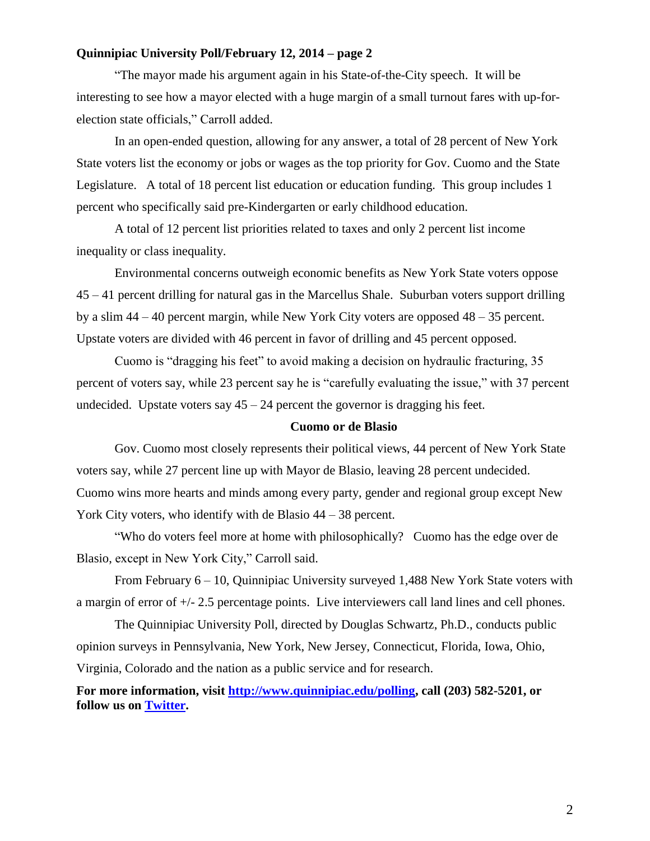#### **Quinnipiac University Poll/February 12, 2014 – page 2**

"The mayor made his argument again in his State-of-the-City speech. It will be interesting to see how a mayor elected with a huge margin of a small turnout fares with up-forelection state officials," Carroll added.

In an open-ended question, allowing for any answer, a total of 28 percent of New York State voters list the economy or jobs or wages as the top priority for Gov. Cuomo and the State Legislature. A total of 18 percent list education or education funding. This group includes 1 percent who specifically said pre-Kindergarten or early childhood education.

A total of 12 percent list priorities related to taxes and only 2 percent list income inequality or class inequality.

Environmental concerns outweigh economic benefits as New York State voters oppose 45 – 41 percent drilling for natural gas in the Marcellus Shale. Suburban voters support drilling by a slim 44 – 40 percent margin, while New York City voters are opposed 48 – 35 percent. Upstate voters are divided with 46 percent in favor of drilling and 45 percent opposed.

Cuomo is "dragging his feet" to avoid making a decision on hydraulic fracturing, 35 percent of voters say, while 23 percent say he is "carefully evaluating the issue," with 37 percent undecided. Upstate voters say  $45 - 24$  percent the governor is dragging his feet.

#### **Cuomo or de Blasio**

Gov. Cuomo most closely represents their political views, 44 percent of New York State voters say, while 27 percent line up with Mayor de Blasio, leaving 28 percent undecided. Cuomo wins more hearts and minds among every party, gender and regional group except New York City voters, who identify with de Blasio 44 – 38 percent.

"Who do voters feel more at home with philosophically? Cuomo has the edge over de Blasio, except in New York City," Carroll said.

From February 6 – 10, Quinnipiac University surveyed 1,488 New York State voters with a margin of error of +/- 2.5 percentage points. Live interviewers call land lines and cell phones.

The Quinnipiac University Poll, directed by Douglas Schwartz, Ph.D., conducts public opinion surveys in Pennsylvania, New York, New Jersey, Connecticut, Florida, Iowa, Ohio, Virginia, Colorado and the nation as a public service and for research.

**For more information, visit [http://www.quinnipiac.edu/polling,](http://www.quinnipiac.edu/polling) call (203) 582-5201, or follow us on [Twitter.](http://twitter.com/QuinnipiacPoll)**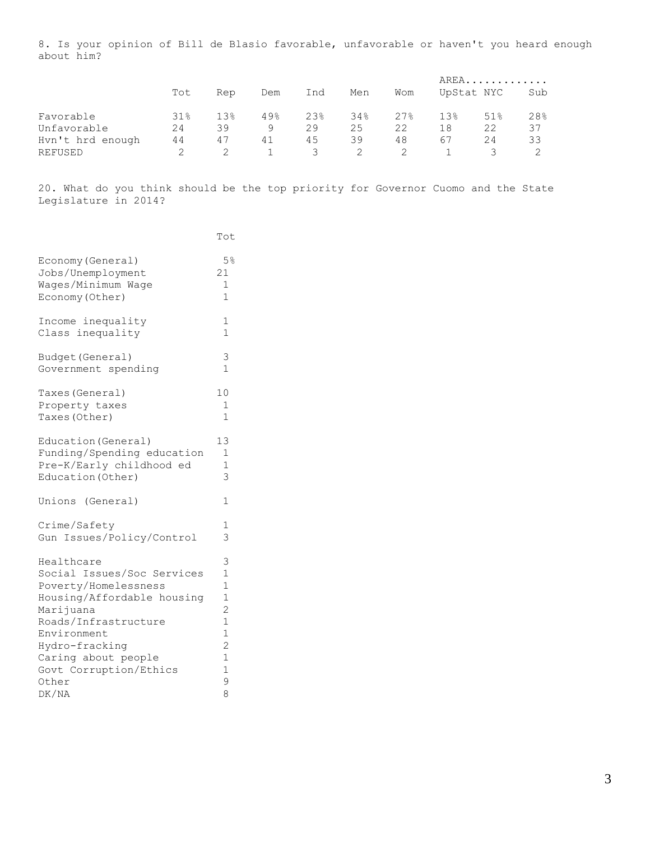8. Is your opinion of Bill de Blasio favorable, unfavorable or haven't you heard enough about him?

|                  |     |                 |     |     |     |     |     | AREA       |     |
|------------------|-----|-----------------|-----|-----|-----|-----|-----|------------|-----|
|                  | Tot | Rep             | Dem | Ind | Men | Wom |     | UpStat NYC | Sub |
| Favorable        | 31% | 13 <sup>°</sup> | 49% | 23% | 34% | 27% | 13% | 51%        | 28% |
| Unfavorable      | 24  | 39              | 9   | 29  | 25  | 22  | 18  | 22         | 37  |
| Hyn't hrd enough | 44  | 47              | 41  | 45  | 39  | 48  | 67  | 24         | 33  |
| REFUSED          |     |                 |     | 3   |     |     |     |            |     |

20. What do you think should be the top priority for Governor Cuomo and the State Legislature in 2014?

|                            | Tot            |
|----------------------------|----------------|
| Economy (General)          | $5\%$          |
| Jobs/Unemployment          | 21             |
| Wages/Minimum Wage         | 1              |
| Economy (Other)            | 1              |
| Income inequality          | 1              |
| Class inequality           | 1              |
| Budget (General)           | 3              |
| Government spending        | 1              |
| Taxes (General)            | 10             |
| Property taxes             | 1              |
| Taxes (Other)              | $\mathbf{1}$   |
| Education (General)        | 13             |
| Funding/Spending education | $\mathbf{1}$   |
| Pre-K/Early childhood ed   | $\mathbf 1$    |
| Education (Other)          | 3              |
| Unions (General)           | 1              |
| Crime/Safety               | 1              |
| Gun Issues/Policy/Control  | 3              |
| Healthcare                 | 3              |
| Social Issues/Soc Services | $\mathbf{1}$   |
| Poverty/Homelessness       | $\mathbf 1$    |
| Housing/Affordable housing | $\mathbf{1}$   |
| Marijuana                  | $\overline{c}$ |
| Roads/Infrastructure       | $\mathbf 1$    |
| Environment                | $\mathbf{1}$   |
| Hydro-fracking             | $\overline{c}$ |
| Caring about people        | $\mathbf{1}$   |
| Govt Corruption/Ethics     | $\overline{1}$ |
| Other                      | 9              |
| DK/NA                      | 8              |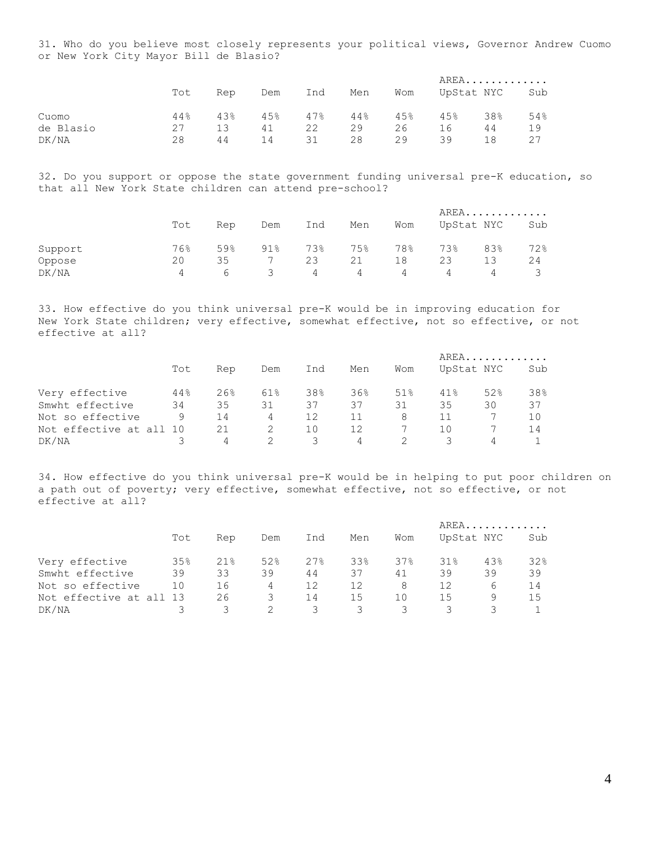31. Who do you believe most closely represents your political views, Governor Andrew Cuomo or New York City Mayor Bill de Blasio?

|           |     |     |     |         |     |     | AREA. |            |     |  |
|-----------|-----|-----|-----|---------|-----|-----|-------|------------|-----|--|
|           | Tot | Rep | Dem | Ind     | Men | Wom |       | UpStat NYC | Sub |  |
| Cuomo     | 44% | 43% |     | 45% 47% | 44% | 45% | 45%   | 38%        | 54% |  |
| de Blasio | 27  | 13  | 41  | 22      | 29  | 26  | 16    | 44         | 19  |  |
| DK/NA     | 28  | 44  | 14  | 31      | 28  | 29  | 39    | 18         |     |  |

32. Do you support or oppose the state government funding universal pre-K education, so that all New York State children can attend pre-school?

|         |                |     |     |     |     |     |     | AREA       |     |  |
|---------|----------------|-----|-----|-----|-----|-----|-----|------------|-----|--|
|         | Tot            | Rep | Dem | Ind | Men | Wom |     | UpStat NYC | Sub |  |
|         |                |     |     |     |     |     |     |            |     |  |
| Support | 76%            | 59% | 91% | 73% | 75% | 78% | 73% | 83%        | 72% |  |
| Oppose  | 20             | 35  |     | 23  | 21  | 18  | 23  |            | 24  |  |
| DK/NA   | $\overline{4}$ | 6   | 3   | 4   | 4   | 4   | 4   | 4          | 3   |  |

33. How effective do you think universal pre-K would be in improving education for New York State children; very effective, somewhat effective, not so effective, or not effective at all?

|                         |     |     |     |     |     |     | AREA |            |     |  |
|-------------------------|-----|-----|-----|-----|-----|-----|------|------------|-----|--|
|                         | Tot | Rep | Dem | Ind | Men | Wom |      | UpStat NYC | Sub |  |
| Very effective          | 44% | 26% | 61% | 38% | 36% | 51% | 41%  | 52%        | 38% |  |
| Smwht effective         | 34  | 35  | 31  | 37  | 37  | 31  | 35   | 30         | 37  |  |
| Not so effective        | 9   | 14  | 4   | 12  | 11  | 8   | 11   |            | 10  |  |
| Not effective at all 10 |     | 21  |     | 10  | 12  |     | 10   |            | 14  |  |
| DK/NA                   |     | 4   |     | 3   | 4   |     |      | 4          |     |  |

34. How effective do you think universal pre-K would be in helping to put poor children on a path out of poverty; very effective, somewhat effective, not so effective, or not effective at all?

|                         |     |     |     |     |     |     | $AREA$ |            |     |  |
|-------------------------|-----|-----|-----|-----|-----|-----|--------|------------|-----|--|
|                         | Tot | Rep | Dem | Ind | Men | Wom |        | UpStat NYC | Sub |  |
| Very effective          | 35% | 21% | 52% | 27% | 33% | 37% | 31%    | 43%        | 32% |  |
| Smwht effective         | 39  | 33  | 39  | 44  | 37  | 41  | 39     | 39         | 39  |  |
| Not so effective        | 10  | 16  | 4   | 12  | 12  | 8   | 12     | 6          | 14  |  |
| Not effective at all 13 |     | 26  |     | 14  | 15  | 10  | 15     | 9          | 15  |  |
| DK/NA                   |     |     |     | 3   | 3   | 3   |        |            |     |  |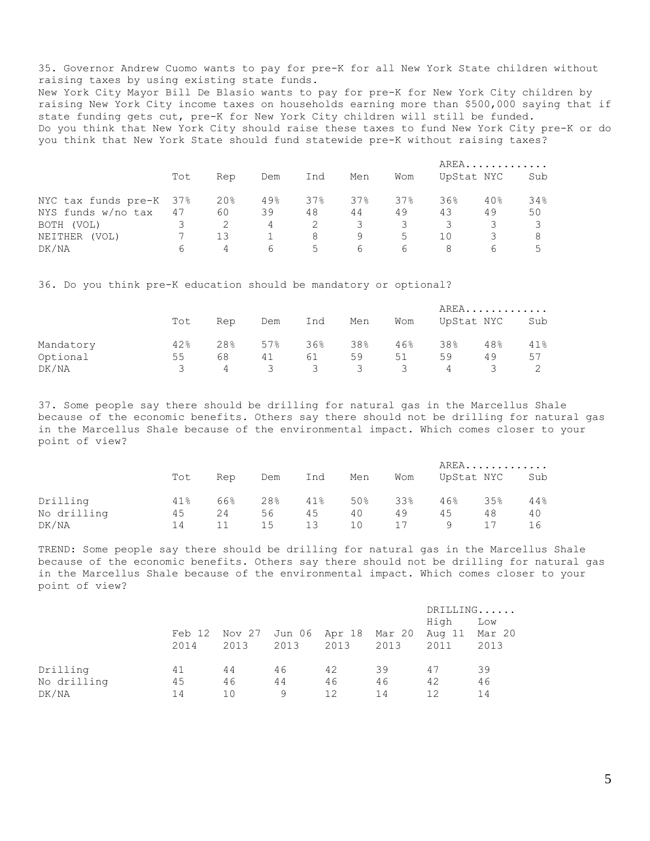35. Governor Andrew Cuomo wants to pay for pre-K for all New York State children without raising taxes by using existing state funds. New York City Mayor Bill De Blasio wants to pay for pre-K for New York City children by raising New York City income taxes on households earning more than \$500,000 saying that if state funding gets cut, pre-K for New York City children will still be funded. Do you think that New York City should raise these taxes to fund New York City pre-K or do you think that New York State should fund statewide pre-K without raising taxes?

|                         |     |                |      |       |     |       |     | AREA       |     |
|-------------------------|-----|----------------|------|-------|-----|-------|-----|------------|-----|
|                         | Tot | Rep            | Dem  | Ind   | Men | Wom   |     | UpStat NYC | Sub |
| NYC tax funds pre-K 37% |     | 20%            | 49.8 | 37%   | 37% | 37%   | 36% | 40%        | 34% |
| NYS funds w/no tax      | 47  | 60             | 39   | 48    | 44  | 49    | 43  | 49         | 50  |
| BOTH (VOL)              |     |                | 4    |       | 3   |       | 3   |            |     |
| NEITHER<br>(VOL)        |     | 13             |      | 8     | 9   | $5 -$ | 10  |            | 8   |
| DK/NA                   |     | $\overline{4}$ | 6    | $5 -$ | 6   | 6     |     |            |     |

36. Do you think pre-K education should be mandatory or optional?

|           |          |     |     |                         |                         |                | AREA |            |     |  |
|-----------|----------|-----|-----|-------------------------|-------------------------|----------------|------|------------|-----|--|
|           | Tot      | Rep | Dem | Ind                     | Men                     | Wom            |      | UpStat NYC | Sub |  |
| Mandatory | 42%      | 28% | 57% | 36%                     | 38%                     | 46%            | 38%  | 48%        | 41% |  |
| Optional  | 55       | 68  | 41  | 61                      | 59                      | 51             | 59   | 49         | 57  |  |
| DK/NA     | <u>२</u> | 4   | 3   | $\overline{\mathbf{3}}$ | $\overline{\mathbf{3}}$ | $\overline{3}$ | 4    |            |     |  |

37. Some people say there should be drilling for natural gas in the Marcellus Shale because of the economic benefits. Others say there should not be drilling for natural gas in the Marcellus Shale because of the environmental impact. Which comes closer to your point of view?

|             |     |     |                 |     |     |     | AREA |            |     |  |
|-------------|-----|-----|-----------------|-----|-----|-----|------|------------|-----|--|
|             | Tot | Rep | Dem             | Ind | Men | Wom |      | UpStat NYC | Sub |  |
| Drilling    | 41% | 66% | 28 <sup>°</sup> | 41% | 50% | 33% | 46%  | 35%        | 44% |  |
| No drilling | 45  | 24  | 56              | 45  | 40  | 49  | 45   | 48         | 40  |  |
| DK/NA       | 14  |     | 15              | 13  | 10  | 17  | 9    | 17         | 16  |  |

TREND: Some people say there should be drilling for natural gas in the Marcellus Shale because of the economic benefits. Others say there should not be drilling for natural gas in the Marcellus Shale because of the environmental impact. Which comes closer to your point of view?

|             |        |        |        |        |        | DRILLING |        |  |
|-------------|--------|--------|--------|--------|--------|----------|--------|--|
|             |        |        |        |        |        | High     | Low    |  |
|             | Feb 12 | Nov 27 | Jun 06 | Apr 18 | Mar 20 | Aug 11   | Mar 20 |  |
|             | 2014   | 2013   | 2013   | 2013   | 2013   | 2011     | 2013   |  |
| Drilling    | 41     | 44     | 46     | 42     | 39     | 47       | 39     |  |
| No drilling | 45     | 46     | 44     | 46     | 46     | 42       | 46     |  |
| DK/NA       | 14     | 10     | 9      | 12     | 14     | 12       | 14     |  |